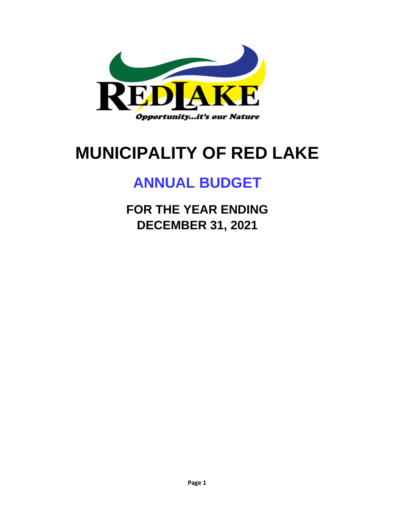

# **MUNICIPALITY OF RED LAKE**

# **ANNUAL BUDGET**

**FOR THE YEAR ENDING DECEMBER 31, 2021**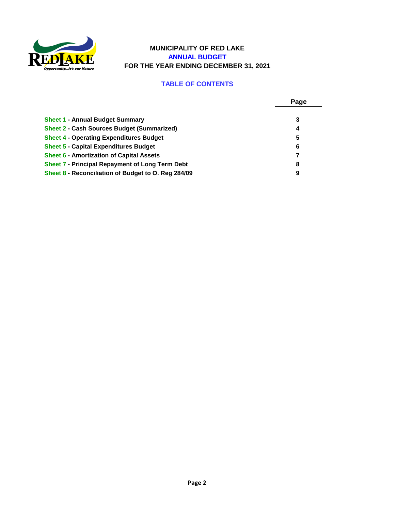

#### **MUNICIPALITY OF RED LAKE ANNUAL BUDGET FOR THE YEAR ENDING DECEMBER 31, 2021**

#### **TABLE OF CONTENTS**

|                                                        | Page |
|--------------------------------------------------------|------|
|                                                        |      |
| <b>Sheet 1 - Annual Budget Summary</b>                 | 3    |
| <b>Sheet 2 - Cash Sources Budget (Summarized)</b>      | 4    |
| <b>Sheet 4 - Operating Expenditures Budget</b>         | 5    |
| <b>Sheet 5 - Capital Expenditures Budget</b>           | 6    |
| <b>Sheet 6 - Amortization of Capital Assets</b>        |      |
| <b>Sheet 7 - Principal Repayment of Long Term Debt</b> | 8    |
| Sheet 8 - Reconciliation of Budget to O. Reg 284/09    | 9    |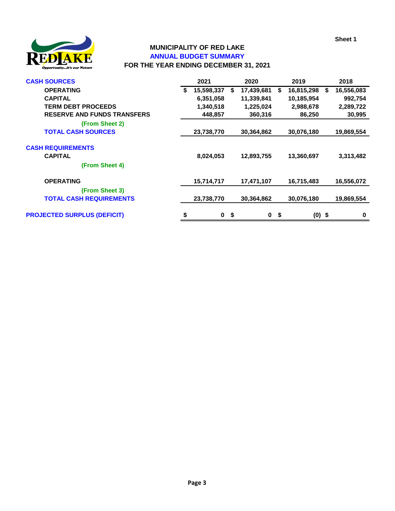**Sheet 1**



#### **MUNICIPALITY OF RED LAKE ANNUAL BUDGET SUMMARY FOR THE YEAR ENDING DECEMBER 31, 2021**

| <b>CASH SOURCES</b>                                          |    | 2021       |    | 2020       |    | 2019       |    | 2018       |
|--------------------------------------------------------------|----|------------|----|------------|----|------------|----|------------|
| <b>OPERATING</b>                                             | S  | 15,598,337 | S. | 17,439,681 | S. | 16,815,298 | Ŝ. | 16,556,083 |
| <b>CAPITAL</b>                                               |    | 6,351,058  |    | 11,339,841 |    | 10,185,954 |    | 992,754    |
| <b>TERM DEBT PROCEEDS</b>                                    |    | 1,340,518  |    | 1,225,024  |    | 2,988,678  |    | 2,289,722  |
| <b>RESERVE AND FUNDS TRANSFERS</b>                           |    | 448,857    |    | 360,316    |    | 86,250     |    | 30,995     |
| (From Sheet 2)                                               |    |            |    |            |    |            |    |            |
| <b>TOTAL CASH SOURCES</b>                                    |    | 23,738,770 |    | 30,364,862 |    | 30,076,180 |    | 19,869,554 |
| <b>CASH REQUIREMENTS</b><br><b>CAPITAL</b><br>(From Sheet 4) |    | 8,024,053  |    | 12,893,755 |    | 13,360,697 |    | 3,313,482  |
| <b>OPERATING</b>                                             |    | 15,714,717 |    | 17,471,107 |    | 16,715,483 |    | 16,556,072 |
| (From Sheet 3)                                               |    |            |    |            |    |            |    |            |
| <b>TOTAL CASH REQUIREMENTS</b>                               |    | 23,738,770 |    | 30,364,862 |    | 30,076,180 |    | 19,869,554 |
| <b>PROJECTED SURPLUS (DEFICIT)</b>                           | \$ | 0          | \$ | 0          | \$ | $(0)$ \$   |    | 0          |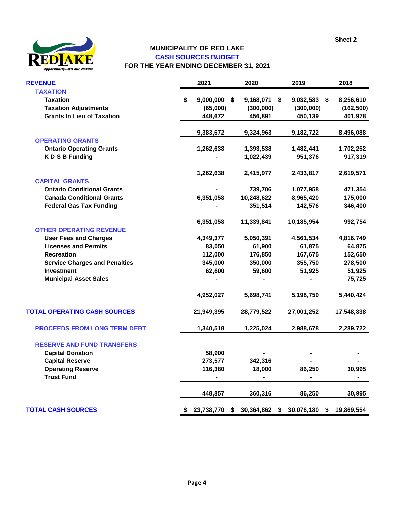

#### **CASH SOURCES BUDGET FOR THE YEAR ENDING DECEMBER 31, 2021 MUNICIPALITY OF RED LAKE**

| <b>REVENUE</b>                       | 2021                 | 2020             | 2019             | 2018             |
|--------------------------------------|----------------------|------------------|------------------|------------------|
| <b>TAXATION</b>                      |                      |                  |                  |                  |
| <b>Taxation</b>                      | \$<br>$9,000,000$ \$ | 9,168,071        | \$<br>9,032,583  | \$<br>8,256,610  |
| <b>Taxation Adjustments</b>          | (65,000)             | (300,000)        | (300,000)        | (162, 500)       |
| <b>Grants In Lieu of Taxation</b>    | 448,672              | 456,891          | 450,139          | 401,978          |
|                                      | 9,383,672            | 9,324,963        | 9,182,722        | 8,496,088        |
| <b>OPERATING GRANTS</b>              |                      |                  |                  |                  |
| <b>Ontario Operating Grants</b>      | 1,262,638            | 1,393,538        | 1,482,441        | 1,702,252        |
| <b>KDSB Funding</b>                  |                      | 1,022,439        | 951,376          | 917,319          |
|                                      | 1,262,638            | 2,415,977        | 2,433,817        | 2,619,571        |
| <b>CAPITAL GRANTS</b>                |                      |                  |                  |                  |
| <b>Ontario Conditional Grants</b>    |                      | 739,706          | 1,077,958        | 471,354          |
| <b>Canada Conditional Grants</b>     | 6,351,058            | 10,248,622       | 8,965,420        | 175,000          |
| <b>Federal Gas Tax Funding</b>       |                      | 351,514          | 142,576          | 346,400          |
|                                      | 6,351,058            | 11,339,841       | 10,185,954       | 992,754          |
| <b>OTHER OPERATING REVENUE</b>       |                      |                  |                  |                  |
| <b>User Fees and Charges</b>         | 4,349,377            | 5,050,391        | 4,561,534        | 4,816,749        |
| <b>Licenses and Permits</b>          | 83,050               | 61,900           | 61,875           | 64,875           |
| <b>Recreation</b>                    | 112,000              | 176,850          | 167,675          | 152,650          |
| <b>Service Charges and Penalties</b> | 345,000              | 350,000          | 355,750          | 278,500          |
| <b>Investment</b>                    | 62,600               | 59,600           | 51,925           | 51,925           |
| <b>Municipal Asset Sales</b>         |                      |                  |                  | 75,725           |
|                                      | 4,952,027            | 5,698,741        | 5,198,759        | 5,440,424        |
| <b>TOTAL OPERATING CASH SOURCES</b>  | 21,949,395           | 28,779,522       | 27,001,252       | 17,548,838       |
| <b>PROCEEDS FROM LONG TERM DEBT</b>  | 1,340,518            | 1,225,024        | 2,988,678        | 2,289,722        |
| <b>RESERVE AND FUND TRANSFERS</b>    |                      |                  |                  |                  |
| <b>Capital Donation</b>              | 58,900               |                  |                  |                  |
| <b>Capital Reserve</b>               | 273,577              | 342,316          |                  |                  |
| <b>Operating Reserve</b>             | 116,380              | 18,000           | 86,250           | 30,995           |
| <b>Trust Fund</b>                    |                      |                  |                  |                  |
|                                      | 448,857              | 360,316          | 86,250           | 30,995           |
| <b>TOTAL CASH SOURCES</b>            | \$<br>23,738,770     | \$<br>30,364,862 | \$<br>30,076,180 | \$<br>19,869,554 |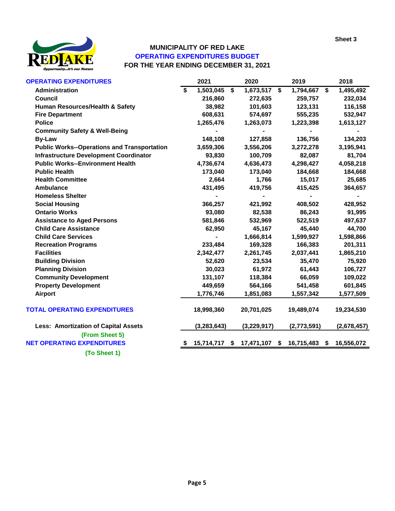

## **MUNICIPALITY OF RED LAKE OPERATING EXPENDITURES BUDGET FOR THE YEAR ENDING DECEMBER 31, 2021**

| <b>OPERATING EXPENDITURES</b>                      | 2021            | 2020                         | 2019                        | 2018                     |
|----------------------------------------------------|-----------------|------------------------------|-----------------------------|--------------------------|
| Administration                                     | \$<br>1,503,045 | \$<br>$\overline{1,}673,517$ | \$<br>1,794,667             | \$<br>$\sqrt{1,}495,492$ |
| <b>Council</b>                                     | 216,860         | 272,635                      | 259,757                     | 232,034                  |
| Human Resources/Health & Safety                    | 38,982          | 101,603                      | 123,131                     | 116,158                  |
| <b>Fire Department</b>                             | 608,631         | 574,697                      | 555,235                     | 532,947                  |
| <b>Police</b>                                      | 1,265,476       | 1,263,073                    | 1,223,398                   | 1,613,127                |
| <b>Community Safety &amp; Well-Being</b>           |                 |                              |                             |                          |
| <b>By-Law</b>                                      | 148,108         | 127,858                      | 136,756                     | 134,203                  |
| <b>Public Works--Operations and Transportation</b> | 3,659,306       | 3,556,206                    | 3,272,278                   | 3,195,941                |
| <b>Infrastructure Development Coordinator</b>      | 93,830          | 100,709                      | 82,087                      | 81,704                   |
| <b>Public Works--Environment Health</b>            | 4,736,674       | 4,636,473                    | 4,298,427                   | 4,058,218                |
| <b>Public Health</b>                               | 173,040         | 173,040                      | 184,668                     | 184,668                  |
| <b>Health Committee</b>                            | 2,664           | 1,766                        | 15,017                      | 25,685                   |
| <b>Ambulance</b>                                   | 431,495         | 419,756                      | 415,425                     | 364,657                  |
| <b>Homeless Shelter</b>                            |                 |                              |                             |                          |
| <b>Social Housing</b>                              | 366,257         | 421,992                      | 408,502                     | 428,952                  |
| <b>Ontario Works</b>                               | 93,080          | 82,538                       | 86,243                      | 91,995                   |
| <b>Assistance to Aged Persons</b>                  | 581,846         | 532,969                      | 522,519                     | 497,637                  |
| <b>Child Care Assistance</b>                       | 62,950          | 45,167                       | 45,440                      | 44,700                   |
| <b>Child Care Services</b>                         |                 | 1,666,814                    | 1,599,927                   | 1,598,866                |
| <b>Recreation Programs</b>                         | 233,484         | 169,328                      | 166,383                     | 201,311                  |
| <b>Facilities</b>                                  | 2,342,477       | 2,261,745                    | 2,037,441                   | 1,865,210                |
| <b>Building Division</b>                           | 52,620          | 23,534                       | 35,470                      | 75,920                   |
| <b>Planning Division</b>                           | 30,023          | 61,972                       | 61,443                      | 106,727                  |
| <b>Community Development</b>                       | 131,107         | 118,384                      | 66,059                      | 109,022                  |
| <b>Property Development</b>                        | 449,659         | 564,166                      | 541,458                     | 601,845                  |
| <b>Airport</b>                                     | 1,776,746       | 1,851,083                    | 1,557,342                   | 1,577,509                |
| <b>TOTAL OPERATING EXPENDITURES</b>                | 18,998,360      | 20,701,025                   | 19,489,074                  | 19,234,530               |
| <b>Less: Amortization of Capital Assets</b>        | (3, 283, 643)   | (3,229,917)                  | (2,773,591)                 | (2,678,457)              |
| (From Sheet 5)                                     |                 |                              |                             |                          |
| <b>NET OPERATING EXPENDITURES</b>                  | 15,714,717      | \$                           | 17,471,107 \$ 16,715,483 \$ | 16,556,072               |
| (To Sheet 1)                                       |                 |                              |                             |                          |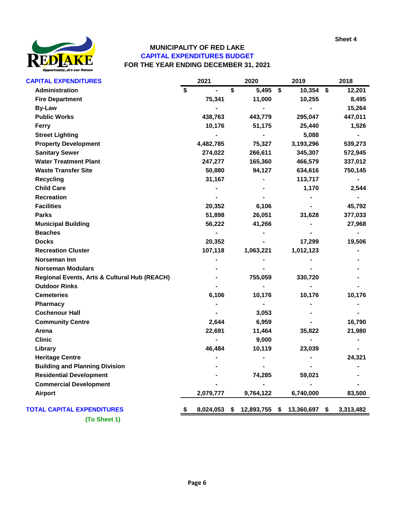

### **CAPITAL EXPENDITURES BUDGET FOR THE YEAR ENDING DECEMBER 31, 2021 MUNICIPALITY OF RED LAKE**

| <b>CAPITAL EXPENDITURES</b>                  | 2021            | 2020             | 2019                | 2018         |
|----------------------------------------------|-----------------|------------------|---------------------|--------------|
| Administration                               | \$              | \$<br>5,495      | \$<br>10,354        | \$<br>12,201 |
| <b>Fire Department</b>                       | 75,341          | 11,000           | 10,255              | 8,495        |
| <b>By-Law</b>                                |                 |                  |                     | 15,264       |
| <b>Public Works</b>                          | 438,763         | 443,779          | 295,047             | 447,011      |
| <b>Ferry</b>                                 | 10,176          | 51,175           | 25,440              | 1,526        |
| <b>Street Lighting</b>                       |                 |                  | 5,088               |              |
| <b>Property Development</b>                  | 4,482,785       | 75,327           | 3,193,296           | 539,273      |
| <b>Sanitary Sewer</b>                        | 274,022         | 266,611          | 345,307             | 572,945      |
| <b>Water Treatment Plant</b>                 | 247,277         | 165,360          | 466,579             | 337,012      |
| <b>Waste Transfer Site</b>                   | 50,880          | 94,127           | 634,616             | 750,145      |
| <b>Recycling</b>                             | 31,167          |                  | 113,717             |              |
| <b>Child Care</b>                            |                 |                  | 1,170               | 2,544        |
| <b>Recreation</b>                            |                 |                  |                     |              |
| <b>Facilities</b>                            | 20,352          | 6,106            |                     | 45,792       |
| <b>Parks</b>                                 | 51,898          | 26,051           | 31,628              | 377,033      |
| <b>Municipal Building</b>                    | 56,222          | 41,266           |                     | 27,968       |
| <b>Beaches</b>                               |                 |                  |                     |              |
| <b>Docks</b>                                 | 20,352          |                  | 17,299              | 19,506       |
| <b>Recreation Cluster</b>                    | 107,118         | 1,063,221        | 1,012,123           |              |
| Norseman Inn                                 |                 |                  |                     |              |
| <b>Norseman Modulars</b>                     |                 |                  |                     |              |
| Regional Events, Arts & Cultural Hub (REACH) |                 | 755,059          | 330,720             |              |
| <b>Outdoor Rinks</b>                         |                 |                  |                     |              |
| <b>Cemeteries</b>                            | 6,106           | 10,176           | 10,176              | 10,176       |
| Pharmacy                                     |                 |                  |                     |              |
| <b>Cochenour Hall</b>                        |                 | 3,053            |                     |              |
| <b>Community Centre</b>                      | 2,644           | 6,959            |                     | 16,790       |
| Arena                                        | 22,691          | 11,464           | 35,822              | 21,980       |
| <b>Clinic</b>                                |                 | 9,000            |                     |              |
| Library                                      | 46,484          | 10,119           | 23,039              |              |
| <b>Heritage Centre</b>                       |                 |                  |                     | 24,321       |
| <b>Building and Planning Division</b>        |                 |                  |                     |              |
| <b>Residential Development</b>               |                 | 74,285           | 59,021              |              |
| <b>Commercial Development</b>                |                 |                  |                     |              |
| <b>Airport</b>                               | 2,079,777       | 9,764,122        | 6,740,000           | 83,500       |
| <b>TOTAL CAPITAL EXPENDITURES</b>            | \$<br>8,024,053 | \$<br>12,893,755 | \$<br>13,360,697 \$ | 3,313,482    |
| (To Sheet 1)                                 |                 |                  |                     |              |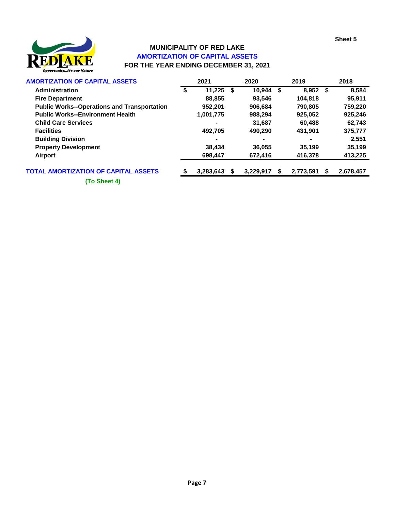

# **FOR THE YEAR ENDING DECEMBER 31, 2021 MUNICIPALITY OF RED LAKE AMORTIZATION OF CAPITAL ASSETS**

| <b>AMORTIZATION OF CAPITAL ASSETS</b>              | 2021         |      | 2020      |   | 2019      |     | 2018      |
|----------------------------------------------------|--------------|------|-----------|---|-----------|-----|-----------|
| Administration                                     | \$<br>11.225 | - \$ | 10.944    | S | 8,952     | - S | 8,584     |
| <b>Fire Department</b>                             | 88,855       |      | 93.546    |   | 104.818   |     | 95,911    |
| <b>Public Works--Operations and Transportation</b> | 952.201      |      | 906.684   |   | 790,805   |     | 759,220   |
| <b>Public Works--Environment Health</b>            | 1,001,775    |      | 988.294   |   | 925,052   |     | 925,246   |
| <b>Child Care Services</b>                         |              |      | 31.687    |   | 60.488    |     | 62,743    |
| <b>Facilities</b>                                  | 492.705      |      | 490.290   |   | 431.901   |     | 375,777   |
| <b>Building Division</b>                           |              |      |           |   |           |     | 2.551     |
| <b>Property Development</b>                        | 38.434       |      | 36,055    |   | 35.199    |     | 35,199    |
| Airport                                            | 698,447      |      | 672,416   |   | 416,378   |     | 413,225   |
| <b>TOTAL AMORTIZATION OF CAPITAL ASSETS</b>        | 3,283,643    |      | 3,229,917 |   | 2,773,591 |     | 2,678,457 |

**(To Sheet 4)**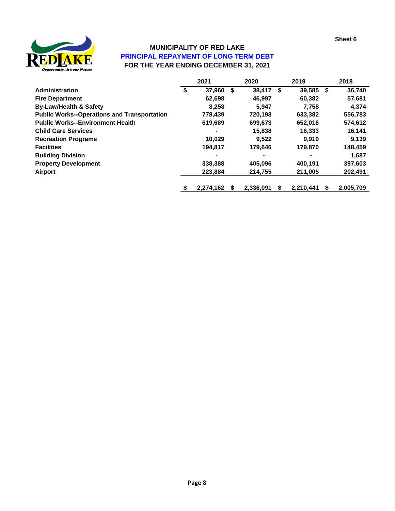

## **FOR THE YEAR ENDING DECEMBER 31, 2021 MUNICIPALITY OF RED LAKE PRINCIPAL REPAYMENT OF LONG TERM DEBT**

|                                                    | 2021            | 2020            | 2019         |    | 2018      |
|----------------------------------------------------|-----------------|-----------------|--------------|----|-----------|
| <b>Administration</b>                              | \$<br>37,960    | \$<br>38.417    | \$<br>39,585 | \$ | 36,740    |
| <b>Fire Department</b>                             | 62,698          | 46,997          | 60,382       |    | 57,681    |
| <b>By-Law/Health &amp; Safety</b>                  | 8,258           | 5,947           | 7.758        |    | 4,374     |
| <b>Public Works--Operations and Transportation</b> | 778,439         | 720.198         | 633,382      |    | 556,783   |
| <b>Public Works--Environment Health</b>            | 619,689         | 699,673         | 652,016      |    | 574,612   |
| <b>Child Care Services</b>                         |                 | 15,838          | 16,333       |    | 16,141    |
| <b>Recreation Programs</b>                         | 10.029          | 9.522           | 9.919        |    | 9.139     |
| <b>Facilities</b>                                  | 194,817         | 179,646         | 179,870      |    | 148,459   |
| <b>Building Division</b>                           |                 |                 |              |    | 1,687     |
| <b>Property Development</b>                        | 338,388         | 405.096         | 400,191      |    | 397,603   |
| Airport                                            | 223,884         | 214,755         | 211,005      |    | 202,491   |
|                                                    | \$<br>2,274,162 | \$<br>2,336,091 | 2,210,441    | S  | 2,005,709 |